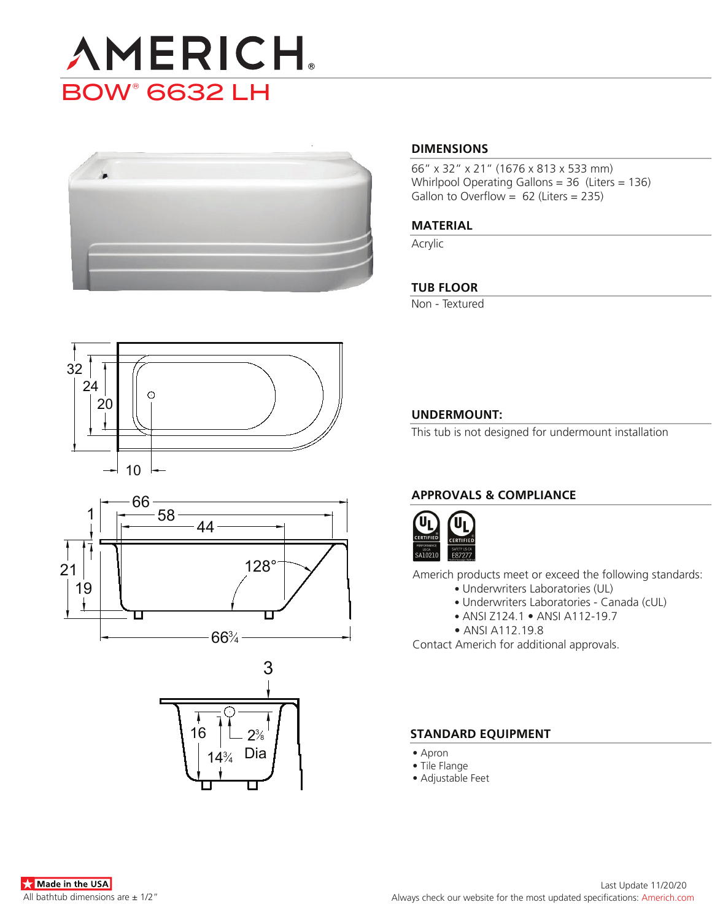# **AMERICH** BOW® 6632 LH



#### **DIMENSIONS**

66" x 32" x 21" (1676 x 813 x 533 mm) Whirlpool Operating Gallons = 36 (Liters = 136) Gallon to Overflow =  $62$  (Liters = 235)

#### **MATERIAL**

Acrylic

#### **TUB FLOOR**

Non - Textured







#### **UNDERMOUNT:**

This tub is not designed for undermount installation

### **APPROVALS & COMPLIANCE**



Americh products meet or exceed the following standards:

- Underwriters Laboratories (UL)
	- Underwriters Laboratories Canada (cUL)
	- ANSI Z124.1 ANSI A112-19.7
- ANSI A112.19.8

Contact Americh for additional approvals.

#### **STANDARD EQUIPMENT**

- Apron
- Tile Flange
- Adjustable Feet